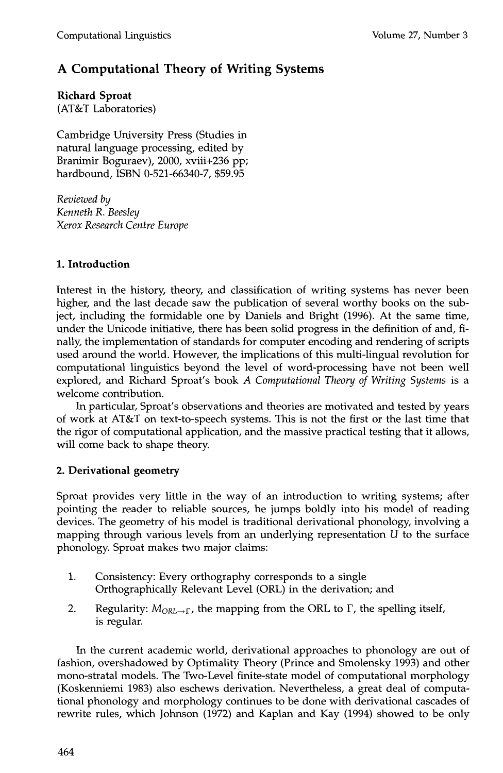# **A Computational Theory of Writing Systems**

**Richard Sproat**  (AT&T Laboratories)

Cambridge University Press (Studies in natural language processing, edited by Branimir Boguraev), 2000, xviii+236 pp; hardbound, ISBN 0-521-66340-7, \$59.95

*Reviewed by Kenneth R. Beesley Xerox Research Centre Europe* 

## **1. Introduction**

Interest in the history, theory, and classification of writing systems has never been higher, and the last decade saw the publication of several worthy books on the subject, including the formidable one by Daniels and Bright (1996). At the same time, under the Unicode initiative, there has been solid progress in the definition of and, finally, the implementation of standards for computer encoding and rendering of scripts used around the world. However, the implications of this multi-lingual revolution for computational linguistics beyond the level of word-processing have not been well explored, and Richard Sproat's book *A Computational Theory of Writing Systems* is a welcome contribution.

In particular, Sproat's observations and theories are motivated and tested by years of work at AT&T on text-to-speech systems. This is not the first or the last time that the rigor of computational application, and the massive practical testing that it allows, will come back to shape theory.

## **2. Derivational geometry**

Sproat provides very little in the way of an introduction to writing systems; after pointing the reader to reliable sources, he jumps boldly into his model of reading devices. The geometry of his model is traditional derivational phonology, involving a mapping through various levels from an underlying representation  $U$  to the surface phonology. Sproat makes two major claims:

- 1. Consistency: Every orthography corresponds to a single Orthographically Relevant Level (ORL) in the derivation; and
- 2. Regularity:  $M_{\text{ORL}\rightarrow\Gamma}$ , the mapping from the ORL to  $\Gamma$ , the spelling itself, is regular.

In the current academic world, derivational approaches to phonology are out of fashion, overshadowed by Optimality Theory (Prince and Smolensky 1993) and other mono-stratal models. The Two-Level finite-state model of computational morphology (Koskenniemi 1983) also eschews derivation. Nevertheless, a great deal of computational phonology and morphology continues to be done with derivational cascades of rewrite rules, which Johnson (1972) and Kaplan and Kay (1994) showed to be only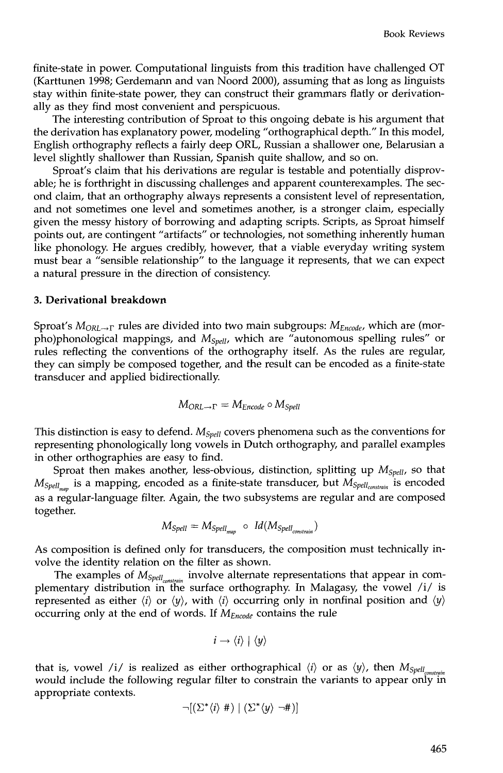finite-state in power. Computational linguists from this tradition have challenged OT (Karttunen 1998; Gerdemann and van Noord 2000), assuming that as long as linguists stay within finite-state power, they can construct their grammars flatly or derivationally as they find most convenient and perspicuous.

The interesting contribution of Sproat to this ongoing debate is his argument that the derivation has explanatory power, modeling "orthographical depth." In this model, English orthography reflects a fairly deep ORL, Russian a shallower one, Belarusian a level slightly shallower than Russian, Spanish quite shallow, and so on.

Sproat's claim that his derivations are regular is testable and potentially disprovable; he is forthright in discussing challenges and apparent counterexamples. The second claim, that an orthography always represents a consistent level of representation, and not sometimes one level and sometimes another, is a stronger claim, especially given the messy history of borrowing and adapting scripts. Scripts, as Sproat himself points out, are contingent "artifacts" or technologies, not something inherently human like phonology. He argues credibly, however, that a viable everyday writing system must bear a "sensible relationship" to the language it represents, that we can expect a natural pressure in the direction of consistency.

#### **3. Derivational breakdown**

Sproat's  $M_{ORL\rightarrow\Gamma}$  rules are divided into two main subgroups:  $M_{Encode}$ , which are (morpho)phonological mappings, and *Mspell,* which are "autonomous spelling rules" or rules reflecting the conventions of the orthography itself. As the rules are regular, they can simply be composed together, and the result can be encoded as a finite-state transducer and applied bidirectionally.

$$
M_{ORL \to \Gamma} = M_{Encode} \circ M_{Spell}
$$

This distinction is easy to defend. *Mspell* covers phenomena such as the conventions for representing phonologically long vowels in Dutch orthography, and parallel examples in other orthographies are easy to find.

Sproat then makes another, less-obvious, distinction, splitting up *Mspell,* so that *M<sub>Spell<sub>nam</sub>* is a mapping, encoded as a finite-state transducer, but *M<sub>Spellconstrain</sub>* is encoded</sub> as a regular-language filter. Again, the two subsystems are regular and are composed together.

$$
M_{\text{Spell}} = M_{\text{Spell}_{\text{man}}} \circ \text{Id}(M_{\text{Spell}_{\text{constraint}}})
$$

As composition is defined only for transducers, the composition must technically involve the identity relation on the filter as shown.

The examples of  $M_{Spell_{\text{const,min}}}$  involve alternate representations that appear in complementary distribution in the surface orthography. In Malagasy, the vowel /i/ is represented as either  $\langle i \rangle$  or  $\langle y \rangle$ , with  $\langle i \rangle$  occurring only in nonfinal position and  $\langle y \rangle$ occurring only at the end of words. If *MEncode* contains the rule

$$
i \rightarrow \langle i \rangle \mid \langle y \rangle
$$

that is, vowel /i/ is realized as either orthographical  $\langle i \rangle$  or as  $\langle y \rangle$ , then  $M_{Spell_{constant}}$ . would include the following regular filter to constrain the variants to appear only in appropriate contexts.

$$
\neg[(\Sigma^*\langle i\rangle\#)] (\Sigma^*\langle y\rangle \neg\#)]
$$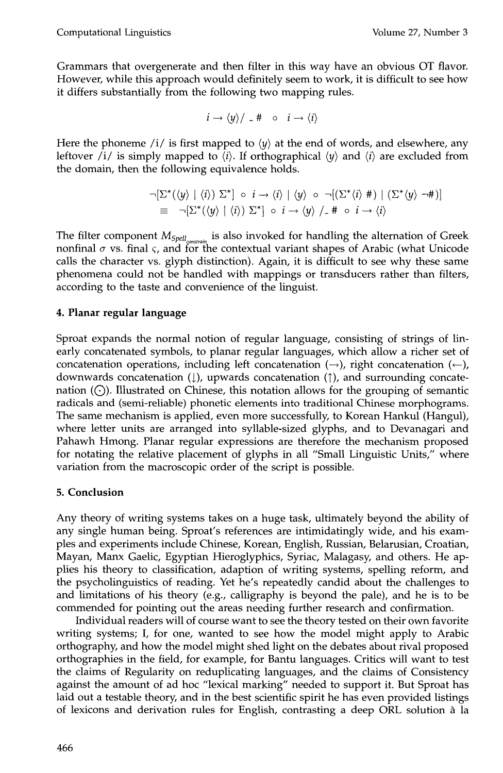Grammars that overgenerate and then filter in this way have an obvious OT flavor. However, while this approach would definitely seem to work, it is difficult to see how it differs substantially from the following two mapping rules.

$$
i \rightarrow \langle y \rangle / \angle # \circ i \rightarrow \langle i \rangle
$$

Here the phoneme /i/ is first mapped to  $\langle y \rangle$  at the end of words, and elsewhere, any leftover /i/ is simply mapped to  $\langle i \rangle$ . If orthographical  $\langle \psi \rangle$  and  $\langle i \rangle$  are excluded from the domain, then the following equivalence holds.

$$
\neg[\Sigma^*(\langle y \rangle | \langle i \rangle) \Sigma^*] \circ i \to \langle i \rangle | \langle y \rangle \circ \neg[(\Sigma^*(i) \#) | (\Sigma^*(y) \neg \#)]
$$
  
\n
$$
\equiv \neg[\Sigma^*(\langle y \rangle | \langle i \rangle) \Sigma^*] \circ i \to \langle y \rangle /_{-} \# \circ i \to \langle i \rangle
$$

The filter component  $M_{Spell_{constant}}$  is also invoked for handling the alternation of Greek nonfinal  $\sigma$  vs. final  $\varsigma$ , and for the contextual variant shapes of Arabic (what Unicode calls the character vs. glyph distinction). Again, it is difficult to see why these same phenomena could not be handled with mappings or transducers rather than filters, according to the taste and convenience of the linguist.

### **4. Planar regular language**

Sproat expands the normal notion of regular language, consisting of strings of linearly concatenated symbols, to planar regular languages, which allow a richer set of concatenation operations, including left concatenation  $(\rightarrow)$ , right concatenation  $(\leftarrow)$ , downwards concatenation ( $\downarrow$ ), upwards concatenation ( $\uparrow$ ), and surrounding concatenation  $(\bigcirc)$ . Illustrated on Chinese, this notation allows for the grouping of semantic radicals and (semi-reliable) phonetic elements into traditional Chinese morphograms. The same mechanism is applied, even more successfully, to Korean Hankul (Hangul), where letter units are arranged into syllable-sized glyphs, and to Devanagari and Pahawh Hmong. Planar regular expressions are therefore the mechanism proposed for notating the relative placement of glyphs in all "Small Linguistic Units," where variation from the macroscopic order of the script is possible.

## **5. Conclusion**

Any theory of writing systems takes on a huge task, ultimately beyond the ability of any single human being. Sproat's references are intimidatingly wide, and his examples and experiments include Chinese, Korean, English, Russian, Belarusian, Croatian, Mayan, Manx Gaelic, Egyptian Hieroglyphics, Syriac, Malagasy, and others. He applies his theory to classification, adaption of writing systems, spelling reform, and the psycholinguistics of reading. Yet he's repeatedly candid about the challenges to and limitations of his theory (e.g., calligraphy is beyond the pale), and he is to be commended for pointing out the areas needing further research and confirmation.

Individual readers will of course want to see the theory tested on their own favorite writing systems; I, for one, wanted to see how the model might apply to Arabic orthography, and how the model might shed light on the debates about rival proposed orthographies in the field, for example, for Bantu languages. Critics will want to test the claims of Regularity on reduplicating languages, and the claims of Consistency against the amount of ad hoc "lexical marking" needed to support it. But Sproat has laid out a testable theory, and in the best scientific spirit he has even provided listings of lexicons and derivation rules for English, contrasting a deep ORL solution a la